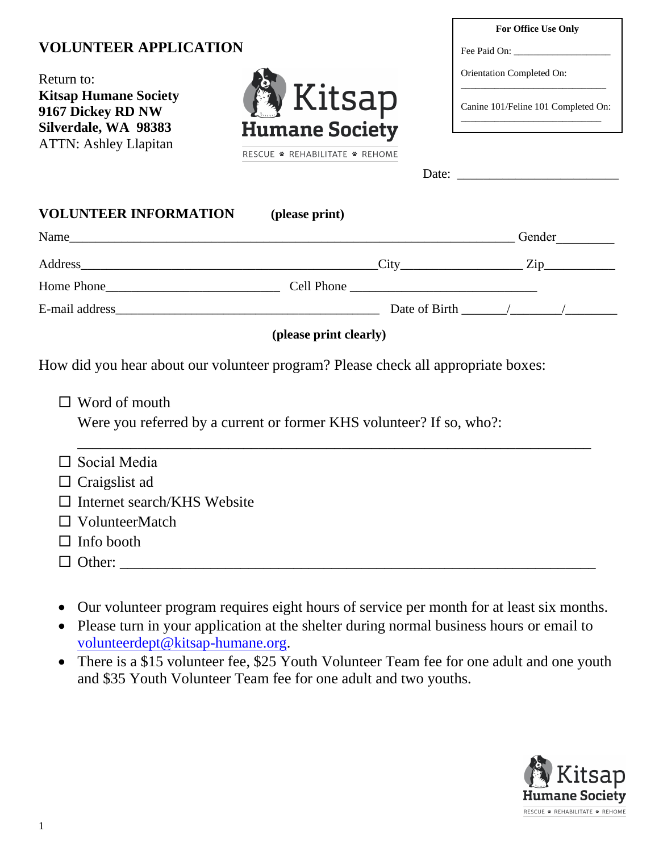# **VOLUNTEER APPLICATION**



|                                                                                                                                                                                                                               |                                |  | For Office Use Only                                                                                                                                                                                                                                                                                                                                                                                                   |  |
|-------------------------------------------------------------------------------------------------------------------------------------------------------------------------------------------------------------------------------|--------------------------------|--|-----------------------------------------------------------------------------------------------------------------------------------------------------------------------------------------------------------------------------------------------------------------------------------------------------------------------------------------------------------------------------------------------------------------------|--|
| <b>VOLUNTEER APPLICATION</b>                                                                                                                                                                                                  |                                |  |                                                                                                                                                                                                                                                                                                                                                                                                                       |  |
| Return to:<br><b>Kitsap Humane Society</b><br>9167 Dickey RD NW                                                                                                                                                               | <b>A</b> Kitsap                |  | Orientation Completed On:<br>Canine 101/Feline 101 Completed On:                                                                                                                                                                                                                                                                                                                                                      |  |
| Silverdale, WA 98383<br><b>ATTN: Ashley Llapitan</b>                                                                                                                                                                          | <b>Humane Society</b>          |  |                                                                                                                                                                                                                                                                                                                                                                                                                       |  |
|                                                                                                                                                                                                                               | RESCUE * REHABILITATE * REHOME |  |                                                                                                                                                                                                                                                                                                                                                                                                                       |  |
|                                                                                                                                                                                                                               |                                |  | Date: $\qquad \qquad$                                                                                                                                                                                                                                                                                                                                                                                                 |  |
| <b>VOLUNTEER INFORMATION</b>                                                                                                                                                                                                  | (please print)                 |  |                                                                                                                                                                                                                                                                                                                                                                                                                       |  |
| Name and the same state of the state of the state of the state of the state of the state of the state of the state of the state of the state of the state of the state of the state of the state of the state of the state of |                                |  | Gender                                                                                                                                                                                                                                                                                                                                                                                                                |  |
|                                                                                                                                                                                                                               |                                |  | $City$ $Zip$                                                                                                                                                                                                                                                                                                                                                                                                          |  |
| Home Phone                                                                                                                                                                                                                    |                                |  |                                                                                                                                                                                                                                                                                                                                                                                                                       |  |
|                                                                                                                                                                                                                               |                                |  | Date of Birth $\frac{1}{\sqrt{1-\frac{1}{\sqrt{1-\frac{1}{\sqrt{1-\frac{1}{\sqrt{1-\frac{1}{\sqrt{1-\frac{1}{\sqrt{1-\frac{1}{\sqrt{1-\frac{1}{\sqrt{1-\frac{1}{\sqrt{1-\frac{1}{\sqrt{1-\frac{1}{\sqrt{1-\frac{1}{\sqrt{1-\frac{1}{\sqrt{1-\frac{1}{\sqrt{1-\frac{1}{\sqrt{1-\frac{1}{\sqrt{1-\frac{1}{\sqrt{1-\frac{1}{\sqrt{1-\frac{1}{\sqrt{1-\frac{1}{\sqrt{1-\frac{1}{\sqrt{1-\frac{1}{\sqrt{1-\frac{1}{\sqrt{$ |  |

#### **(please print clearly)**

How did you hear about our volunteer program? Please check all appropriate boxes:

□ Word of mouth

Were you referred by a current or former KHS volunteer? If so, who?:

| $\Box$ Social Media                |
|------------------------------------|
| $\Box$ Craigslist ad               |
| $\Box$ Internet search/KHS Website |
| $\Box$ VolunteerMatch              |
| $\Box$ Info booth                  |
| $\Box$ Other:                      |

- Our volunteer program requires eight hours of service per month for at least six months.
- Please turn in your application at the shelter during normal business hours or email to [volunteerdept@kitsap-humane.org.](mailto:volunteerdept@kitsap-humane.org)
- There is a \$15 volunteer fee, \$25 Youth Volunteer Team fee for one adult and one youth and \$35 Youth Volunteer Team fee for one adult and two youths.

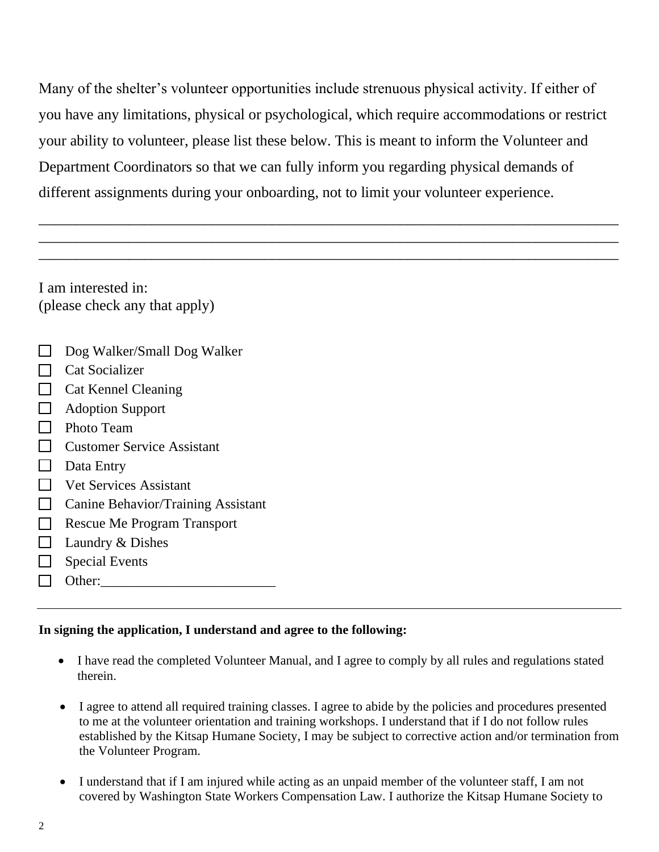Many of the shelter's volunteer opportunities include strenuous physical activity. If either of you have any limitations, physical or psychological, which require accommodations or restrict your ability to volunteer, please list these below. This is meant to inform the Volunteer and Department Coordinators so that we can fully inform you regarding physical demands of different assignments during your onboarding, not to limit your volunteer experience.

\_\_\_\_\_\_\_\_\_\_\_\_\_\_\_\_\_\_\_\_\_\_\_\_\_\_\_\_\_\_\_\_\_\_\_\_\_\_\_\_\_\_\_\_\_\_\_\_\_\_\_\_\_\_\_\_\_\_\_\_\_\_\_\_\_\_\_\_\_\_\_\_\_\_\_\_\_ \_\_\_\_\_\_\_\_\_\_\_\_\_\_\_\_\_\_\_\_\_\_\_\_\_\_\_\_\_\_\_\_\_\_\_\_\_\_\_\_\_\_\_\_\_\_\_\_\_\_\_\_\_\_\_\_\_\_\_\_\_\_\_\_\_\_\_\_\_\_\_\_\_\_\_\_\_ \_\_\_\_\_\_\_\_\_\_\_\_\_\_\_\_\_\_\_\_\_\_\_\_\_\_\_\_\_\_\_\_\_\_\_\_\_\_\_\_\_\_\_\_\_\_\_\_\_\_\_\_\_\_\_\_\_\_\_\_\_\_\_\_\_\_\_\_\_\_\_\_\_\_\_\_\_

I am interested in: (please check any that apply)

- $\Box$  Dog Walker/Small Dog Walker
- $\Box$  Cat Socializer
- $\Box$  Cat Kennel Cleaning
- **Adoption Support**
- $\Box$  Photo Team
- □ Customer Service Assistant
- $\Box$  Data Entry
- □ Vet Services Assistant
- **Canine Behavior/Training Assistant**
- Rescue Me Program Transport
- $\Box$  Laundry & Dishes
- $\Box$  Special Events
- $\Box$  Other:

#### **In signing the application, I understand and agree to the following:**

- I have read the completed Volunteer Manual, and I agree to comply by all rules and regulations stated therein.
- I agree to attend all required training classes. I agree to abide by the policies and procedures presented to me at the volunteer orientation and training workshops. I understand that if I do not follow rules established by the Kitsap Humane Society, I may be subject to corrective action and/or termination from the Volunteer Program.
- I understand that if I am injured while acting as an unpaid member of the volunteer staff, I am not covered by Washington State Workers Compensation Law. I authorize the Kitsap Humane Society to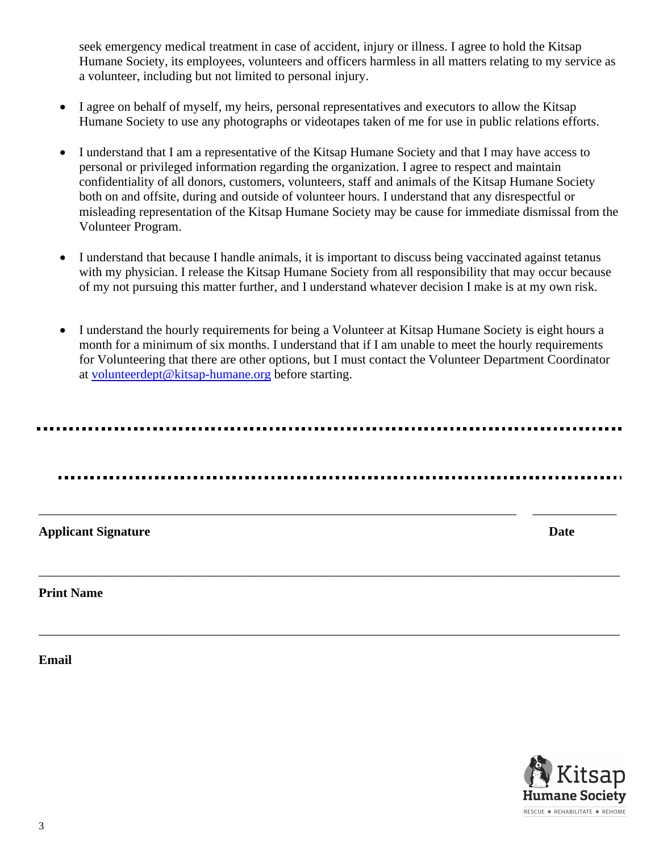seek emergency medical treatment in case of accident, injury or illness. I agree to hold the Kitsap Humane Society, its employees, volunteers and officers harmless in all matters relating to my service as a volunteer, including but not limited to personal injury.

- I agree on behalf of myself, my heirs, personal representatives and executors to allow the Kitsap Humane Society to use any photographs or videotapes taken of me for use in public relations efforts.
- I understand that I am a representative of the Kitsap Humane Society and that I may have access to personal or privileged information regarding the organization. I agree to respect and maintain confidentiality of all donors, customers, volunteers, staff and animals of the Kitsap Humane Society both on and offsite, during and outside of volunteer hours. I understand that any disrespectful or misleading representation of the Kitsap Humane Society may be cause for immediate dismissal from the Volunteer Program.
- I understand that because I handle animals, it is important to discuss being vaccinated against tetanus with my physician. I release the Kitsap Humane Society from all responsibility that may occur because of my not pursuing this matter further, and I understand whatever decision I make is at my own risk.
- I understand the hourly requirements for being a Volunteer at Kitsap Humane Society is eight hours a month for a minimum of six months. I understand that if I am unable to meet the hourly requirements for Volunteering that there are other options, but I must contact the Volunteer Department Coordinator at [volunteerdept@kitsap-humane.org](mailto:volunteerdept@kitsap-humane.org) before starting.

\_\_\_\_\_\_\_\_\_\_\_\_\_\_\_\_\_\_\_\_\_\_\_\_\_\_\_\_\_\_\_\_\_\_\_\_\_\_\_\_\_\_\_\_\_\_\_\_\_\_\_\_\_\_\_\_\_\_\_\_\_\_\_\_\_\_\_\_\_\_\_\_\_\_ \_\_\_\_\_\_\_\_\_\_\_\_\_

\_\_\_\_\_\_\_\_\_\_\_\_\_\_\_\_\_\_\_\_\_\_\_\_\_\_\_\_\_\_\_\_\_\_\_\_\_\_\_\_\_\_\_\_\_\_\_\_\_\_\_\_\_\_\_\_\_\_\_\_\_\_\_\_\_\_\_\_\_\_\_\_\_\_\_\_\_\_\_\_\_\_\_\_\_\_\_\_\_\_

\_\_\_\_\_\_\_\_\_\_\_\_\_\_\_\_\_\_\_\_\_\_\_\_\_\_\_\_\_\_\_\_\_\_\_\_\_\_\_\_\_\_\_\_\_\_\_\_\_\_\_\_\_\_\_\_\_\_\_\_\_\_\_\_\_\_\_\_\_\_\_\_\_\_\_\_\_\_\_\_\_\_\_\_\_\_\_\_\_\_

**Applicant Signature Date** 

**Print Name** 

**Email**